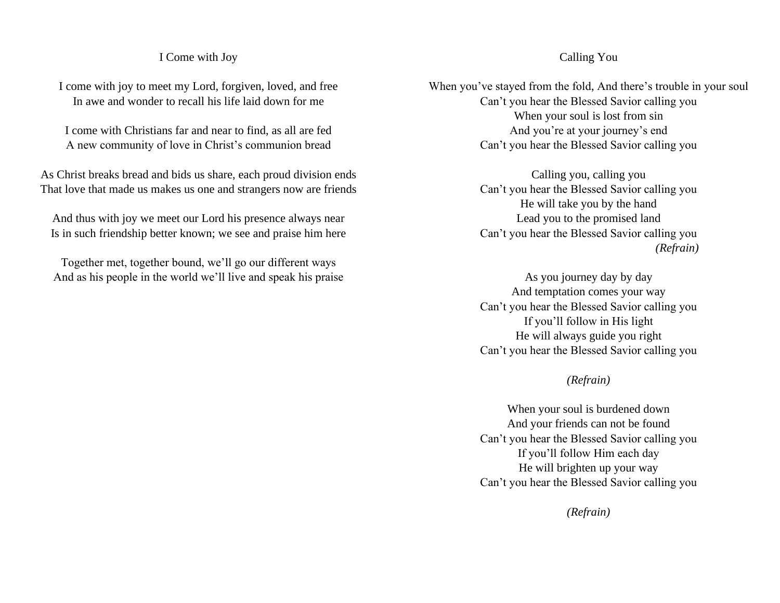## I Come with Joy

I come with joy to meet my Lord, forgiven, loved, and free In awe and wonder to recall his life laid down for me

I come with Christians far and near to find, as all are fed A new community of love in Christ's communion bread

As Christ breaks bread and bids us share, each proud division ends That love that made us makes us one and strangers now are friends

And thus with joy we meet our Lord his presence always near Is in such friendship better known; we see and praise him here

Together met, together bound, we'll go our different ways And as his people in the world we'll live and speak his praise

## Calling You

When you've stayed from the fold, And there's trouble in your soul Can't you hear the Blessed Savior calling you When your soul is lost from sin And you're at your journey's end Can't you hear the Blessed Savior calling you

> Calling you, calling you Can't you hear the Blessed Savior calling you He will take you by the hand Lead you to the promised land Can't you hear the Blessed Savior calling you *(Refrain)*

> As you journey day by day And temptation comes your way Can't you hear the Blessed Savior calling you If you'll follow in His light He will always guide you right Can't you hear the Blessed Savior calling you

## *(Refrain)*

When your soul is burdened down And your friends can not be found Can't you hear the Blessed Savior calling you If you'll follow Him each day He will brighten up your way Can't you hear the Blessed Savior calling you

*(Refrain)*